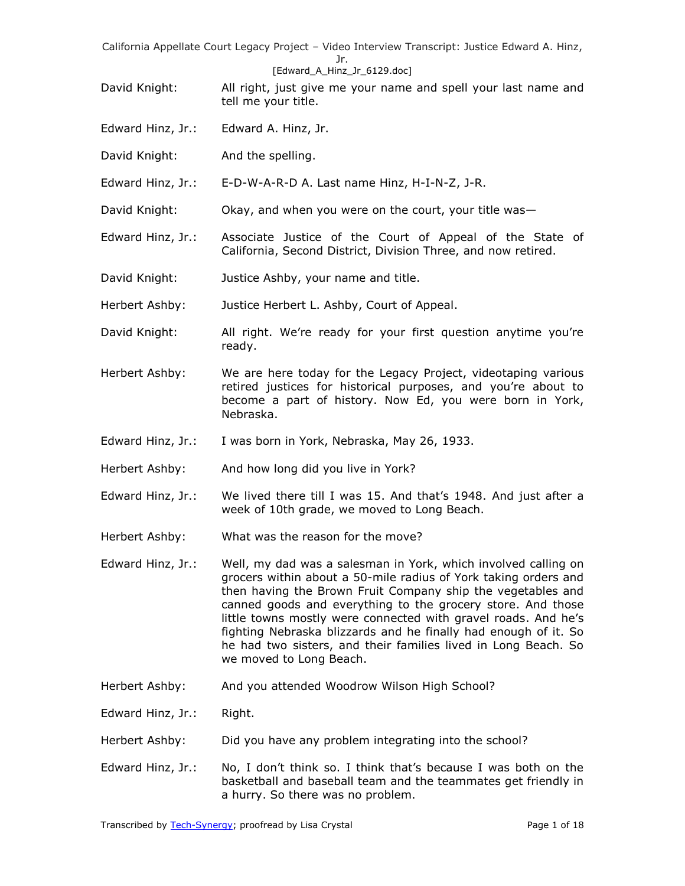### [Edward A Hinz Jr 6129.doc]

- David Knight: All right, just give me your name and spell your last name and tell me your title.
- Edward Hinz, Jr.: Edward A. Hinz, Jr.
- David Knight: And the spelling.

Edward Hinz, Jr.: E-D-W-A-R-D A. Last name Hinz, H-I-N-Z, J-R.

- David Knight: Okay, and when you were on the court, your title was—
- Edward Hinz, Jr.: Associate Justice of the Court of Appeal of the State of California, Second District, Division Three, and now retired.
- David Knight: Justice Ashby, your name and title.

Herbert Ashby: Justice Herbert L. Ashby, Court of Appeal.

- David Knight: All right. We're ready for your first question anytime you're ready.
- Herbert Ashby: We are here today for the Legacy Project, videotaping various retired justices for historical purposes, and you're about to become a part of history. Now Ed, you were born in York, Nebraska.
- Edward Hinz, Jr.: I was born in York, Nebraska, May 26, 1933.
- Herbert Ashby: And how long did you live in York?
- Edward Hinz, Jr.: We lived there till I was 15. And that's 1948. And just after a week of 10th grade, we moved to Long Beach.
- Herbert Ashby: What was the reason for the move?
- Edward Hinz, Jr.: Well, my dad was a salesman in York, which involved calling on grocers within about a 50-mile radius of York taking orders and then having the Brown Fruit Company ship the vegetables and canned goods and everything to the grocery store. And those little towns mostly were connected with gravel roads. And he's fighting Nebraska blizzards and he finally had enough of it. So he had two sisters, and their families lived in Long Beach. So we moved to Long Beach.
- Herbert Ashby: And you attended Woodrow Wilson High School?
- Edward Hinz, Jr.: Right.
- Herbert Ashby: Did you have any problem integrating into the school?
- Edward Hinz, Jr.: No, I don't think so. I think that's because I was both on the basketball and baseball team and the teammates get friendly in a hurry. So there was no problem.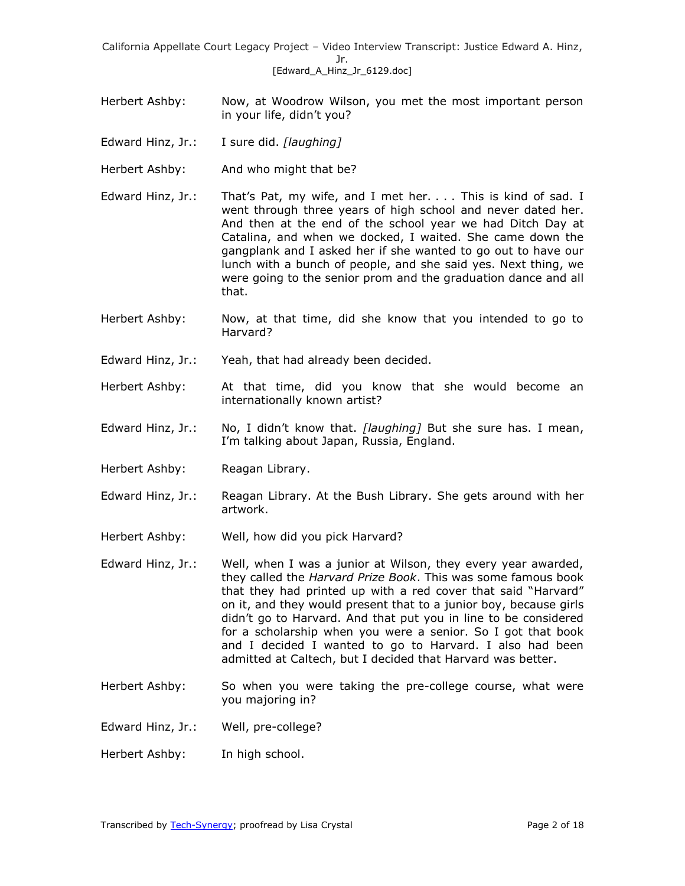- Herbert Ashby: Now, at Woodrow Wilson, you met the most important person in your life, didn't you?
- Edward Hinz, Jr.: I sure did. *[laughing]*
- Herbert Ashby: And who might that be?
- Edward Hinz, Jr.: That's Pat, my wife, and I met her. . . . This is kind of sad. I went through three years of high school and never dated her. And then at the end of the school year we had Ditch Day at Catalina, and when we docked, I waited. She came down the gangplank and I asked her if she wanted to go out to have our lunch with a bunch of people, and she said yes. Next thing, we were going to the senior prom and the graduation dance and all that.
- Herbert Ashby: Now, at that time, did she know that you intended to go to Harvard?
- Edward Hinz, Jr.: Yeah, that had already been decided.
- Herbert Ashby: At that time, did you know that she would become an internationally known artist?
- Edward Hinz, Jr.: No, I didn't know that. *[laughing]* But she sure has. I mean, I'm talking about Japan, Russia, England.
- Herbert Ashby: Reagan Library.
- Edward Hinz, Jr.: Reagan Library. At the Bush Library. She gets around with her artwork.
- Herbert Ashby: Well, how did you pick Harvard?
- Edward Hinz, Jr.: Well, when I was a junior at Wilson, they every year awarded, they called the *Harvard Prize Book*. This was some famous book that they had printed up with a red cover that said "Harvard" on it, and they would present that to a junior boy, because girls didn't go to Harvard. And that put you in line to be considered for a scholarship when you were a senior. So I got that book and I decided I wanted to go to Harvard. I also had been admitted at Caltech, but I decided that Harvard was better.
- Herbert Ashby: So when you were taking the pre-college course, what were you majoring in?
- Edward Hinz, Jr.: Well, pre-college?
- Herbert Ashby: In high school.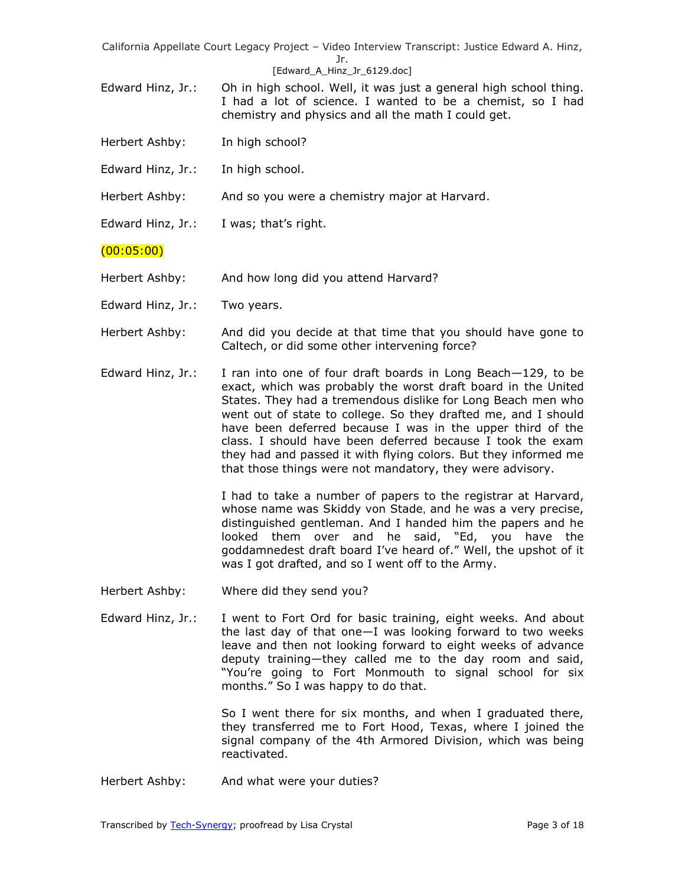#### [Edward A Hinz Jr 6129.doc]

- Edward Hinz, Jr.: Oh in high school. Well, it was just a general high school thing. I had a lot of science. I wanted to be a chemist, so I had chemistry and physics and all the math I could get.
- Herbert Ashby: In high school?
- Edward Hinz, Jr.: In high school.
- Herbert Ashby: And so you were a chemistry major at Harvard.
- Edward Hinz, Jr.: I was; that's right.

(00:05:00)

- Herbert Ashby: And how long did you attend Harvard?
- Edward Hinz, Jr.: Two years.
- Herbert Ashby: And did you decide at that time that you should have gone to Caltech, or did some other intervening force?
- Edward Hinz, Jr.: I ran into one of four draft boards in Long Beach $-129$ , to be exact, which was probably the worst draft board in the United States. They had a tremendous dislike for Long Beach men who went out of state to college. So they drafted me, and I should have been deferred because I was in the upper third of the class. I should have been deferred because I took the exam they had and passed it with flying colors. But they informed me that those things were not mandatory, they were advisory.

I had to take a number of papers to the registrar at Harvard, whose name was Skiddy von Stade, and he was a very precise, distinguished gentleman. And I handed him the papers and he looked them over and he said, "Ed, you have the goddamnedest draft board I've heard of." Well, the upshot of it was I got drafted, and so I went off to the Army.

- Herbert Ashby: Where did they send you?
- Edward Hinz, Jr.: I went to Fort Ord for basic training, eight weeks. And about the last day of that one—I was looking forward to two weeks leave and then not looking forward to eight weeks of advance deputy training—they called me to the day room and said, ―You're going to Fort Monmouth to signal school for six months." So I was happy to do that.

So I went there for six months, and when I graduated there, they transferred me to Fort Hood, Texas, where I joined the signal company of the 4th Armored Division, which was being reactivated.

Herbert Ashby: And what were your duties?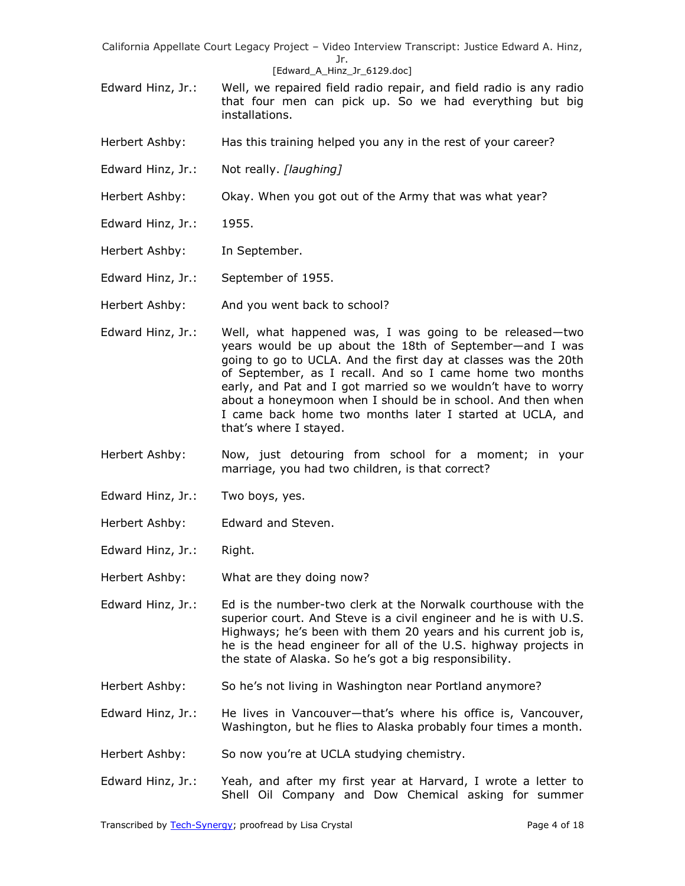#### [Edward A Hinz Jr 6129.doc]

- Edward Hinz, Jr.: Well, we repaired field radio repair, and field radio is any radio that four men can pick up. So we had everything but big installations.
- Herbert Ashby: Has this training helped you any in the rest of your career?
- Edward Hinz, Jr.: Not really. *[laughing]*
- Herbert Ashby: Okay. When you got out of the Army that was what year?
- Edward Hinz, Jr.: 1955.
- Herbert Ashby: In September.
- Edward Hinz, Jr.: September of 1955.
- Herbert Ashby: And you went back to school?
- Edward Hinz, Jr.: Well, what happened was, I was going to be released—two years would be up about the 18th of September—and I was going to go to UCLA. And the first day at classes was the 20th of September, as I recall. And so I came home two months early, and Pat and I got married so we wouldn't have to worry about a honeymoon when I should be in school. And then when I came back home two months later I started at UCLA, and that's where I stayed.
- Herbert Ashby: Now, just detouring from school for a moment; in your marriage, you had two children, is that correct?
- Edward Hinz, Jr.: Two boys, yes.
- Herbert Ashby: Edward and Steven.
- Edward Hinz, Jr.: Right.
- Herbert Ashby: What are they doing now?
- Edward Hinz, Jr.: Ed is the number-two clerk at the Norwalk courthouse with the superior court. And Steve is a civil engineer and he is with U.S. Highways; he's been with them 20 years and his current job is, he is the head engineer for all of the U.S. highway projects in the state of Alaska. So he's got a big responsibility.
- Herbert Ashby: So he's not living in Washington near Portland anymore?
- Edward Hinz, Jr.: He lives in Vancouver—that's where his office is, Vancouver, Washington, but he flies to Alaska probably four times a month.
- Herbert Ashby: So now you're at UCLA studying chemistry.
- Edward Hinz, Jr.: Yeah, and after my first year at Harvard, I wrote a letter to Shell Oil Company and Dow Chemical asking for summer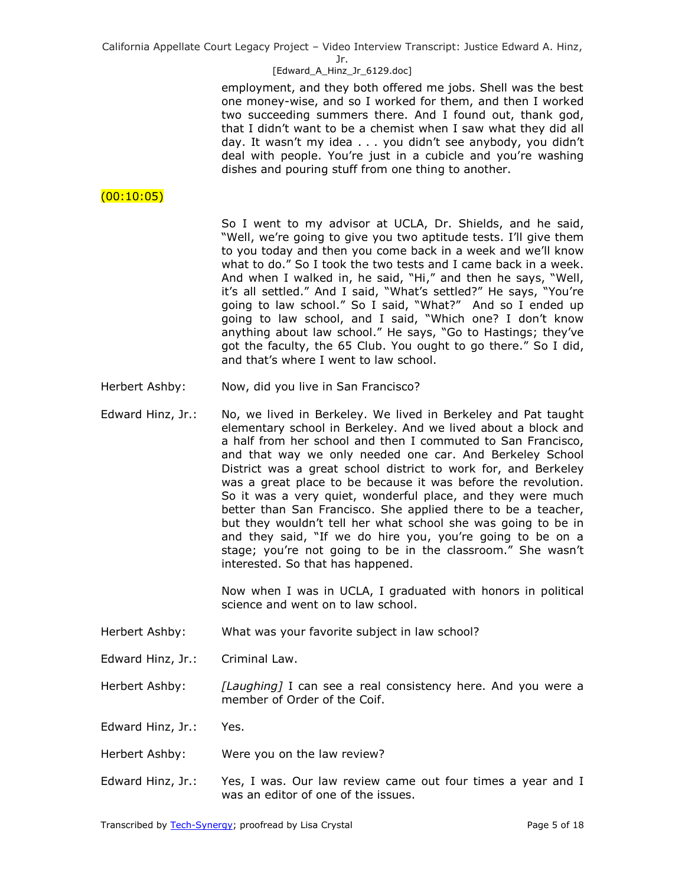Jr.

### [Edward A Hinz Jr 6129.doc]

employment, and they both offered me jobs. Shell was the best one money-wise, and so I worked for them, and then I worked two succeeding summers there. And I found out, thank god, that I didn't want to be a chemist when I saw what they did all day. It wasn't my idea . . . you didn't see anybody, you didn't deal with people. You're just in a cubicle and you're washing dishes and pouring stuff from one thing to another.

# $(00:10:05)$

So I went to my advisor at UCLA, Dr. Shields, and he said, "Well, we're going to give you two aptitude tests. I'll give them to you today and then you come back in a week and we'll know what to do." So I took the two tests and I came back in a week. And when I walked in, he said, "Hi," and then he says, "Well, it's all settled." And I said, "What's settled?" He says, "You're going to law school." So I said, "What?" And so I ended up going to law school, and I said, "Which one? I don't know anything about law school." He says, "Go to Hastings; they've got the faculty, the 65 Club. You ought to go there." So I did, and that's where I went to law school.

- Herbert Ashby: Now, did you live in San Francisco?
- Edward Hinz, Jr.: No, we lived in Berkeley. We lived in Berkeley and Pat taught elementary school in Berkeley. And we lived about a block and a half from her school and then I commuted to San Francisco, and that way we only needed one car. And Berkeley School District was a great school district to work for, and Berkeley was a great place to be because it was before the revolution. So it was a very quiet, wonderful place, and they were much better than San Francisco. She applied there to be a teacher, but they wouldn't tell her what school she was going to be in and they said, "If we do hire you, you're going to be on a stage; you're not going to be in the classroom." She wasn't interested. So that has happened.

Now when I was in UCLA, I graduated with honors in political science and went on to law school.

Herbert Ashby: What was your favorite subject in law school?

Edward Hinz, Jr.: Criminal Law.

Herbert Ashby: *[Laughing]* I can see a real consistency here. And you were a member of Order of the Coif.

Edward Hinz, Jr.: Yes.

- Herbert Ashby: Were you on the law review?
- Edward Hinz, Jr.: Yes, I was. Our law review came out four times a year and I was an editor of one of the issues.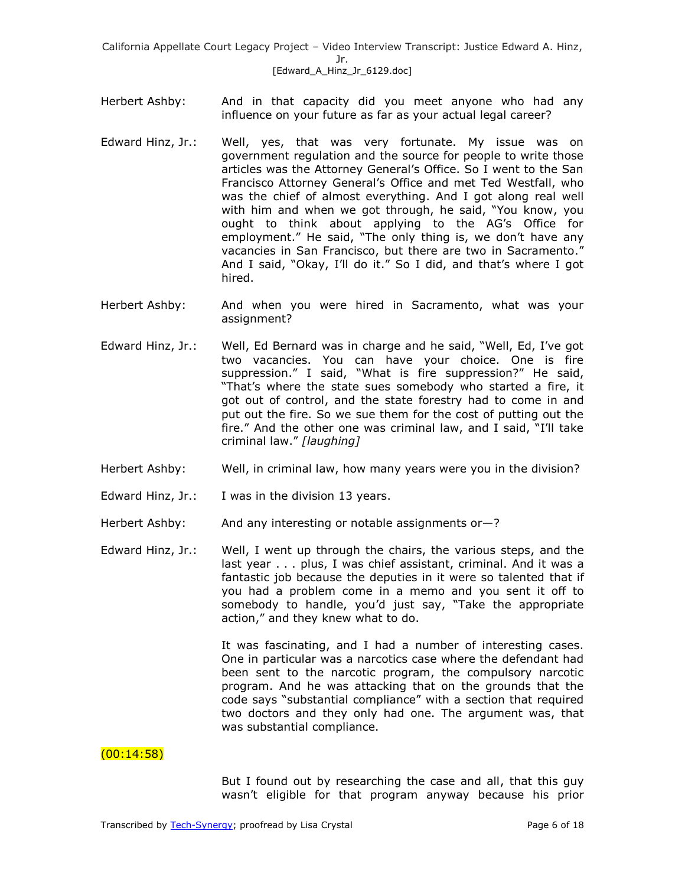- Herbert Ashby: And in that capacity did you meet anyone who had any influence on your future as far as your actual legal career?
- Edward Hinz, Jr.: Well, yes, that was very fortunate. My issue was on government regulation and the source for people to write those articles was the Attorney General's Office. So I went to the San Francisco Attorney General's Office and met Ted Westfall, who was the chief of almost everything. And I got along real well with him and when we got through, he said, "You know, you ought to think about applying to the AG's Office for employment." He said, "The only thing is, we don't have any vacancies in San Francisco, but there are two in Sacramento." And I said, "Okay, I'll do it." So I did, and that's where I got hired.
- Herbert Ashby: And when you were hired in Sacramento, what was your assignment?
- Edward Hinz, Jr.: Well, Ed Bernard was in charge and he said, "Well, Ed, I've got two vacancies. You can have your choice. One is fire suppression." I said, "What is fire suppression?" He said, "That's where the state sues somebody who started a fire, it got out of control, and the state forestry had to come in and put out the fire. So we sue them for the cost of putting out the fire." And the other one was criminal law, and I said, "I'll take criminal law.‖ *[laughing]*
- Herbert Ashby: Well, in criminal law, how many years were you in the division?
- Edward Hinz, Jr.: I was in the division 13 years.
- Herbert Ashby: And any interesting or notable assignments or-?
- Edward Hinz, Jr.: Well, I went up through the chairs, the various steps, and the last year . . . plus, I was chief assistant, criminal. And it was a fantastic job because the deputies in it were so talented that if you had a problem come in a memo and you sent it off to somebody to handle, you'd just say, "Take the appropriate action," and they knew what to do.

It was fascinating, and I had a number of interesting cases. One in particular was a narcotics case where the defendant had been sent to the narcotic program, the compulsory narcotic program. And he was attacking that on the grounds that the code says "substantial compliance" with a section that required two doctors and they only had one. The argument was, that was substantial compliance.

## $(00:14:58)$

But I found out by researching the case and all, that this guy wasn't eligible for that program anyway because his prior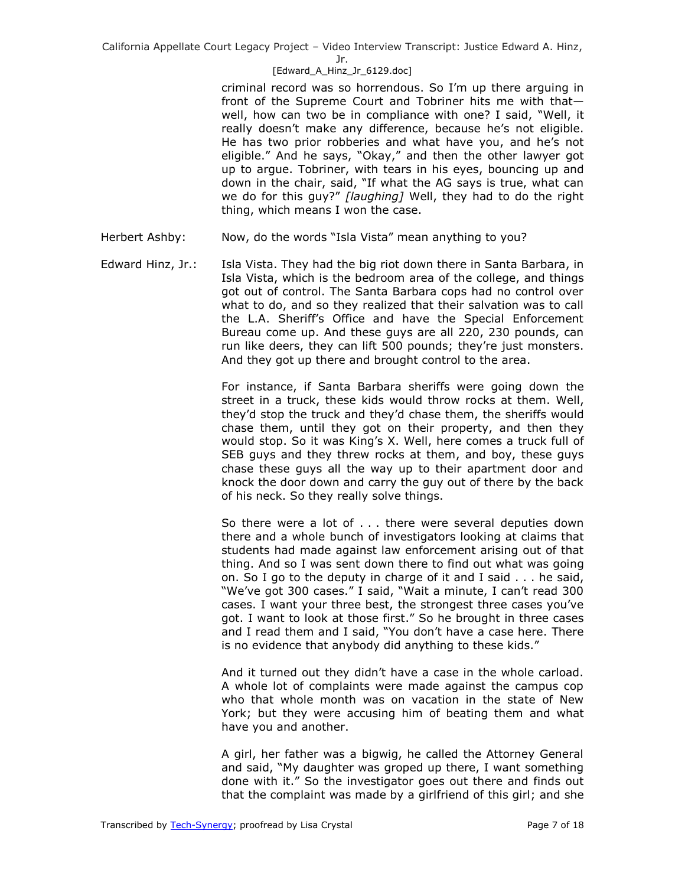Jr.

## [Edward A Hinz Jr 6129.doc]

criminal record was so horrendous. So I'm up there arguing in front of the Supreme Court and Tobriner hits me with that well, how can two be in compliance with one? I said, "Well, it really doesn't make any difference, because he's not eligible. He has two prior robberies and what have you, and he's not eligible." And he says, "Okay," and then the other lawyer got up to argue. Tobriner, with tears in his eyes, bouncing up and down in the chair, said, "If what the AG says is true, what can we do for this guy?" [laughing] Well, they had to do the right thing, which means I won the case.

- Herbert Ashby: Now, do the words "Isla Vista" mean anything to you?
- Edward Hinz, Jr.: Isla Vista. They had the big riot down there in Santa Barbara, in Isla Vista, which is the bedroom area of the college, and things got out of control. The Santa Barbara cops had no control over what to do, and so they realized that their salvation was to call the L.A. Sheriff's Office and have the Special Enforcement Bureau come up. And these guys are all 220, 230 pounds, can run like deers, they can lift 500 pounds; they're just monsters. And they got up there and brought control to the area.

For instance, if Santa Barbara sheriffs were going down the street in a truck, these kids would throw rocks at them. Well, they'd stop the truck and they'd chase them, the sheriffs would chase them, until they got on their property, and then they would stop. So it was King's X. Well, here comes a truck full of SEB guys and they threw rocks at them, and boy, these guys chase these guys all the way up to their apartment door and knock the door down and carry the guy out of there by the back of his neck. So they really solve things.

So there were a lot of . . . there were several deputies down there and a whole bunch of investigators looking at claims that students had made against law enforcement arising out of that thing. And so I was sent down there to find out what was going on. So I go to the deputy in charge of it and I said . . . he said, "We've got 300 cases." I said, "Wait a minute, I can't read 300 cases. I want your three best, the strongest three cases you've got. I want to look at those first." So he brought in three cases and I read them and I said, "You don't have a case here. There is no evidence that anybody did anything to these kids."

And it turned out they didn't have a case in the whole carload. A whole lot of complaints were made against the campus cop who that whole month was on vacation in the state of New York; but they were accusing him of beating them and what have you and another.

A girl, her father was a bigwig, he called the Attorney General and said, "My daughter was groped up there, I want something done with it." So the investigator goes out there and finds out that the complaint was made by a girlfriend of this girl; and she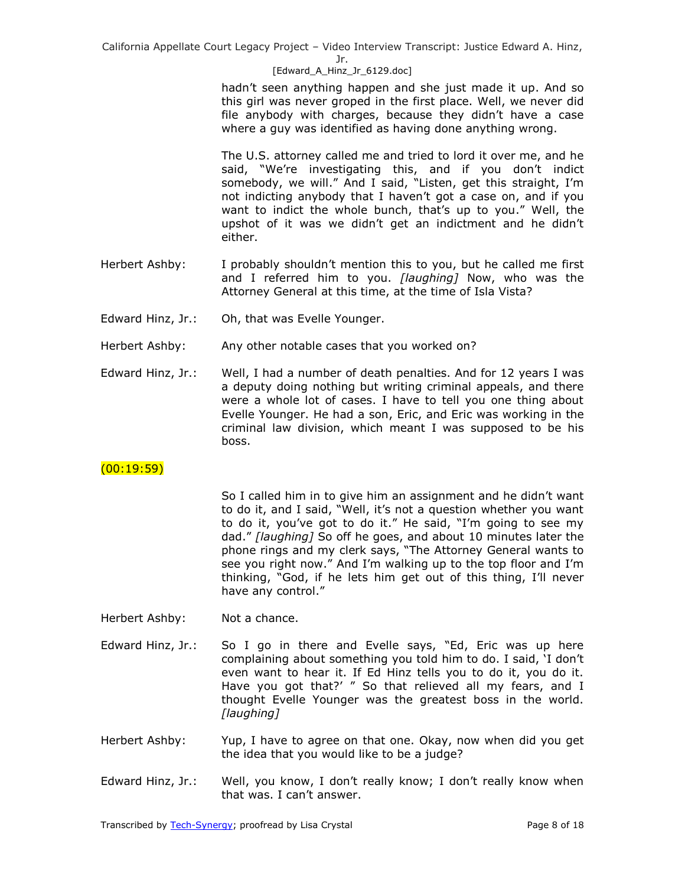Jr.

[Edward A Hinz Jr 6129.doc]

hadn't seen anything happen and she just made it up. And so this girl was never groped in the first place. Well, we never did file anybody with charges, because they didn't have a case where a guy was identified as having done anything wrong.

The U.S. attorney called me and tried to lord it over me, and he said, "We're investigating this, and if you don't indict somebody, we will." And I said, "Listen, get this straight, I'm not indicting anybody that I haven't got a case on, and if you want to indict the whole bunch, that's up to you." Well, the upshot of it was we didn't get an indictment and he didn't either.

- Herbert Ashby: I probably shouldn't mention this to you, but he called me first and I referred him to you. *[laughing]* Now, who was the Attorney General at this time, at the time of Isla Vista?
- Edward Hinz, Jr.: Oh, that was Evelle Younger.
- Herbert Ashby: Any other notable cases that you worked on?
- Edward Hinz, Jr.: Well, I had a number of death penalties. And for 12 years I was a deputy doing nothing but writing criminal appeals, and there were a whole lot of cases. I have to tell you one thing about Evelle Younger. He had a son, Eric, and Eric was working in the criminal law division, which meant I was supposed to be his boss.

# $(00:19:59)$

So I called him in to give him an assignment and he didn't want to do it, and I said, "Well, it's not a question whether you want to do it, you've got to do it." He said, "I'm going to see my dad.‖ *[laughing]* So off he goes, and about 10 minutes later the phone rings and my clerk says, "The Attorney General wants to see you right now." And I'm walking up to the top floor and I'm thinking, "God, if he lets him get out of this thing, I'll never have any control."

- Herbert Ashby: Not a chance.
- Edward Hinz, Jr.: So I go in there and Evelle says, "Ed, Eric was up here complaining about something you told him to do. I said, 'I don't even want to hear it. If Ed Hinz tells you to do it, you do it. Have you got that?' " So that relieved all my fears, and I thought Evelle Younger was the greatest boss in the world. *[laughing]*
- Herbert Ashby: Yup, I have to agree on that one. Okay, now when did you get the idea that you would like to be a judge?
- Edward Hinz, Jr.: Well, you know, I don't really know; I don't really know when that was. I can't answer.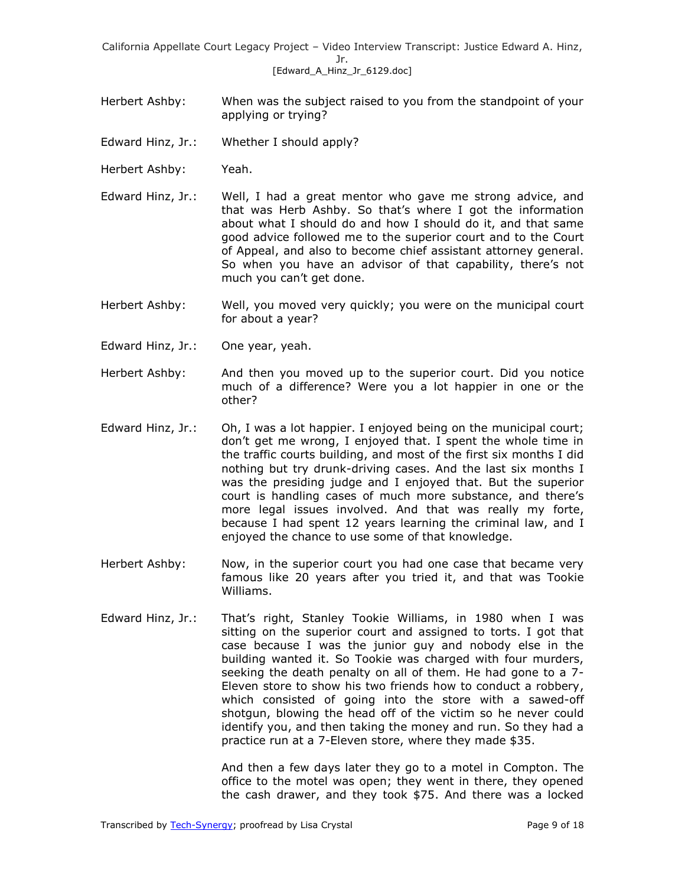- Herbert Ashby: When was the subject raised to you from the standpoint of your applying or trying?
- Edward Hinz, Jr.: Whether I should apply?
- Herbert Ashby: Yeah.
- Edward Hinz, Jr.: Well, I had a great mentor who gave me strong advice, and that was Herb Ashby. So that's where I got the information about what I should do and how I should do it, and that same good advice followed me to the superior court and to the Court of Appeal, and also to become chief assistant attorney general. So when you have an advisor of that capability, there's not much you can't get done.
- Herbert Ashby: Well, you moved very quickly; you were on the municipal court for about a year?
- Edward Hinz, Jr.: One year, yeah.
- Herbert Ashby: And then you moved up to the superior court. Did you notice much of a difference? Were you a lot happier in one or the other?
- Edward Hinz, Jr.: Oh, I was a lot happier. I enjoyed being on the municipal court; don't get me wrong, I enjoyed that. I spent the whole time in the traffic courts building, and most of the first six months I did nothing but try drunk-driving cases. And the last six months I was the presiding judge and I enjoyed that. But the superior court is handling cases of much more substance, and there's more legal issues involved. And that was really my forte, because I had spent 12 years learning the criminal law, and I enjoyed the chance to use some of that knowledge.
- Herbert Ashby: Now, in the superior court you had one case that became very famous like 20 years after you tried it, and that was Tookie Williams.
- Edward Hinz, Jr.: That's right, Stanley Tookie Williams, in 1980 when I was sitting on the superior court and assigned to torts. I got that case because I was the junior guy and nobody else in the building wanted it. So Tookie was charged with four murders, seeking the death penalty on all of them. He had gone to a 7- Eleven store to show his two friends how to conduct a robbery, which consisted of going into the store with a sawed-off shotgun, blowing the head off of the victim so he never could identify you, and then taking the money and run. So they had a practice run at a 7-Eleven store, where they made \$35.

And then a few days later they go to a motel in Compton. The office to the motel was open; they went in there, they opened the cash drawer, and they took \$75. And there was a locked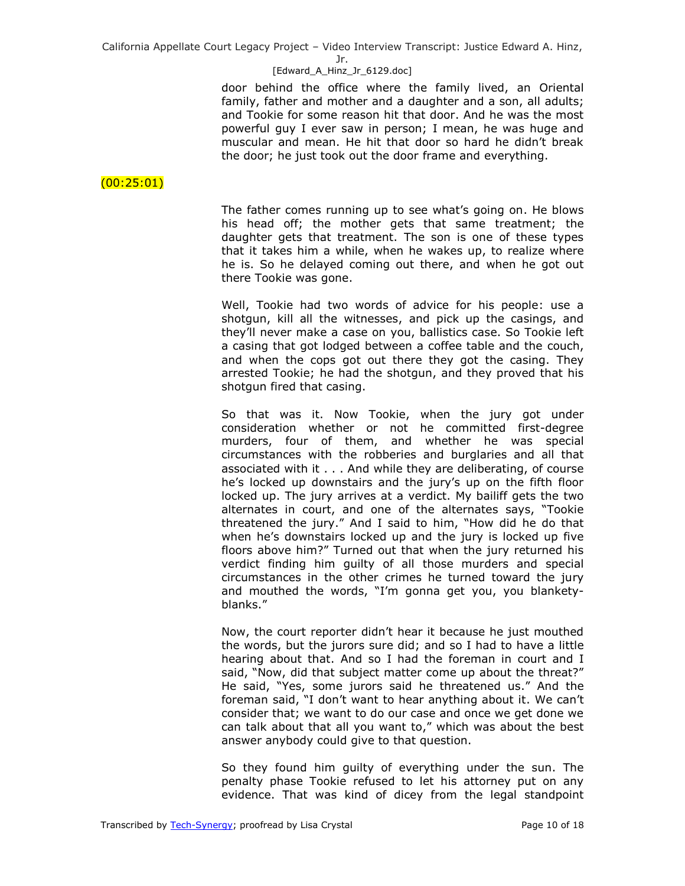#### Jr.

### [Edward A Hinz Jr 6129.doc]

door behind the office where the family lived, an Oriental family, father and mother and a daughter and a son, all adults; and Tookie for some reason hit that door. And he was the most powerful guy I ever saw in person; I mean, he was huge and muscular and mean. He hit that door so hard he didn't break the door; he just took out the door frame and everything.

# (00:25:01)

The father comes running up to see what's going on. He blows his head off; the mother gets that same treatment; the daughter gets that treatment. The son is one of these types that it takes him a while, when he wakes up, to realize where he is. So he delayed coming out there, and when he got out there Tookie was gone.

Well, Tookie had two words of advice for his people: use a shotgun, kill all the witnesses, and pick up the casings, and they'll never make a case on you, ballistics case. So Tookie left a casing that got lodged between a coffee table and the couch, and when the cops got out there they got the casing. They arrested Tookie; he had the shotgun, and they proved that his shotgun fired that casing.

So that was it. Now Tookie, when the jury got under consideration whether or not he committed first-degree murders, four of them, and whether he was special circumstances with the robberies and burglaries and all that associated with it . . . And while they are deliberating, of course he's locked up downstairs and the jury's up on the fifth floor locked up. The jury arrives at a verdict. My bailiff gets the two alternates in court, and one of the alternates says, "Tookie threatened the jury." And I said to him, "How did he do that when he's downstairs locked up and the jury is locked up five floors above him?" Turned out that when the jury returned his verdict finding him guilty of all those murders and special circumstances in the other crimes he turned toward the jury and mouthed the words, "I'm gonna get you, you blanketyblanks."

Now, the court reporter didn't hear it because he just mouthed the words, but the jurors sure did; and so I had to have a little hearing about that. And so I had the foreman in court and I said, "Now, did that subject matter come up about the threat?" He said, "Yes, some jurors said he threatened us." And the foreman said, "I don't want to hear anything about it. We can't consider that; we want to do our case and once we get done we can talk about that all you want to," which was about the best answer anybody could give to that question.

So they found him guilty of everything under the sun. The penalty phase Tookie refused to let his attorney put on any evidence. That was kind of dicey from the legal standpoint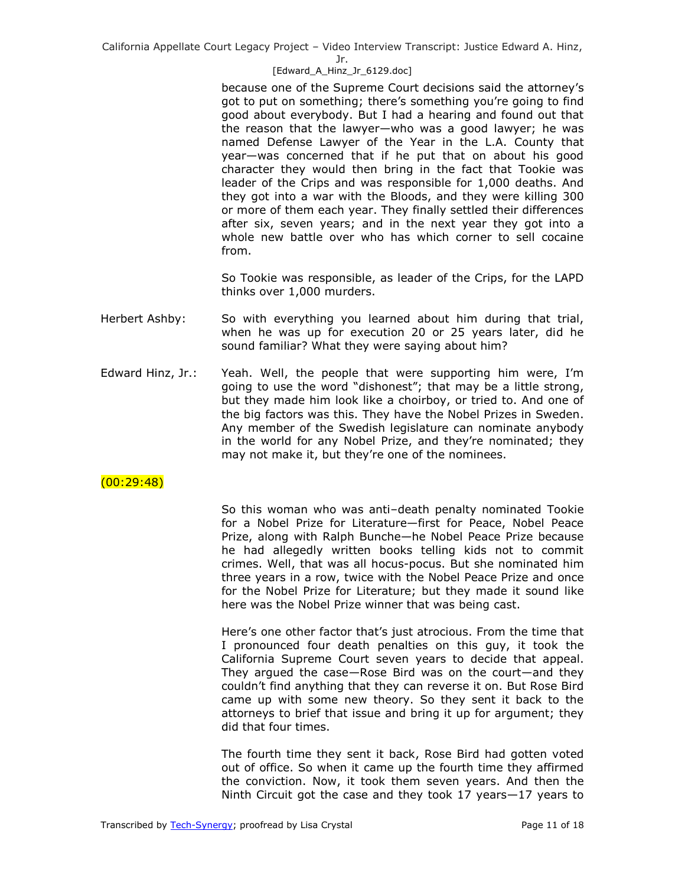Jr.

### [Edward A Hinz Jr 6129.doc]

because one of the Supreme Court decisions said the attorney's got to put on something; there's something you're going to find good about everybody. But I had a hearing and found out that the reason that the lawyer—who was a good lawyer; he was named Defense Lawyer of the Year in the L.A. County that year—was concerned that if he put that on about his good character they would then bring in the fact that Tookie was leader of the Crips and was responsible for 1,000 deaths. And they got into a war with the Bloods, and they were killing 300 or more of them each year. They finally settled their differences after six, seven years; and in the next year they got into a whole new battle over who has which corner to sell cocaine from.

So Tookie was responsible, as leader of the Crips, for the LAPD thinks over 1,000 murders.

- Herbert Ashby: So with everything you learned about him during that trial, when he was up for execution 20 or 25 years later, did he sound familiar? What they were saying about him?
- Edward Hinz, Jr.: Yeah. Well, the people that were supporting him were, I'm going to use the word "dishonest"; that may be a little strong, but they made him look like a choirboy, or tried to. And one of the big factors was this. They have the Nobel Prizes in Sweden. Any member of the Swedish legislature can nominate anybody in the world for any Nobel Prize, and they're nominated; they may not make it, but they're one of the nominees.

# (00:29:48)

So this woman who was anti–death penalty nominated Tookie for a Nobel Prize for Literature—first for Peace, Nobel Peace Prize, along with Ralph Bunche—he Nobel Peace Prize because he had allegedly written books telling kids not to commit crimes. Well, that was all hocus-pocus. But she nominated him three years in a row, twice with the Nobel Peace Prize and once for the Nobel Prize for Literature; but they made it sound like here was the Nobel Prize winner that was being cast.

Here's one other factor that's just atrocious. From the time that I pronounced four death penalties on this guy, it took the California Supreme Court seven years to decide that appeal. They argued the case—Rose Bird was on the court—and they couldn't find anything that they can reverse it on. But Rose Bird came up with some new theory. So they sent it back to the attorneys to brief that issue and bring it up for argument; they did that four times.

The fourth time they sent it back, Rose Bird had gotten voted out of office. So when it came up the fourth time they affirmed the conviction. Now, it took them seven years. And then the Ninth Circuit got the case and they took 17 years—17 years to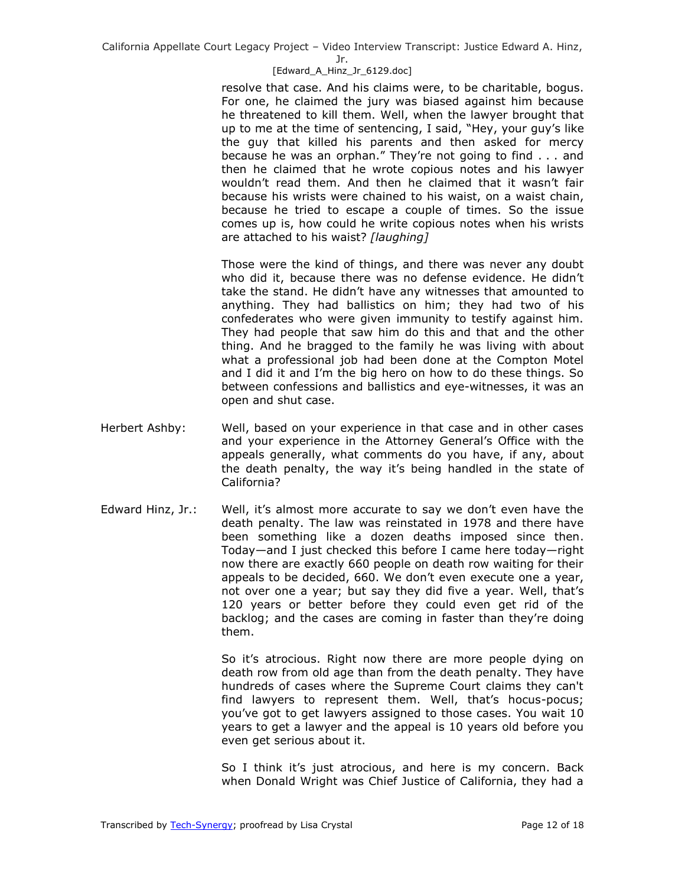Jr.

## [Edward A Hinz Jr 6129.doc]

resolve that case. And his claims were, to be charitable, bogus. For one, he claimed the jury was biased against him because he threatened to kill them. Well, when the lawyer brought that up to me at the time of sentencing, I said, "Hey, your guy's like the guy that killed his parents and then asked for mercy because he was an orphan." They're not going to find . . . and then he claimed that he wrote copious notes and his lawyer wouldn't read them. And then he claimed that it wasn't fair because his wrists were chained to his waist, on a waist chain, because he tried to escape a couple of times. So the issue comes up is, how could he write copious notes when his wrists are attached to his waist? *[laughing]* 

Those were the kind of things, and there was never any doubt who did it, because there was no defense evidence. He didn't take the stand. He didn't have any witnesses that amounted to anything. They had ballistics on him; they had two of his confederates who were given immunity to testify against him. They had people that saw him do this and that and the other thing. And he bragged to the family he was living with about what a professional job had been done at the Compton Motel and I did it and I'm the big hero on how to do these things. So between confessions and ballistics and eye-witnesses, it was an open and shut case.

- Herbert Ashby: Well, based on your experience in that case and in other cases and your experience in the Attorney General's Office with the appeals generally, what comments do you have, if any, about the death penalty, the way it's being handled in the state of California?
- Edward Hinz, Jr.: Well, it's almost more accurate to say we don't even have the death penalty. The law was reinstated in 1978 and there have been something like a dozen deaths imposed since then. Today—and I just checked this before I came here today—right now there are exactly 660 people on death row waiting for their appeals to be decided, 660. We don't even execute one a year, not over one a year; but say they did five a year. Well, that's 120 years or better before they could even get rid of the backlog; and the cases are coming in faster than they're doing them.

So it's atrocious. Right now there are more people dying on death row from old age than from the death penalty. They have hundreds of cases where the Supreme Court claims they can't find lawyers to represent them. Well, that's hocus-pocus; you've got to get lawyers assigned to those cases. You wait 10 years to get a lawyer and the appeal is 10 years old before you even get serious about it.

So I think it's just atrocious, and here is my concern. Back when Donald Wright was Chief Justice of California, they had a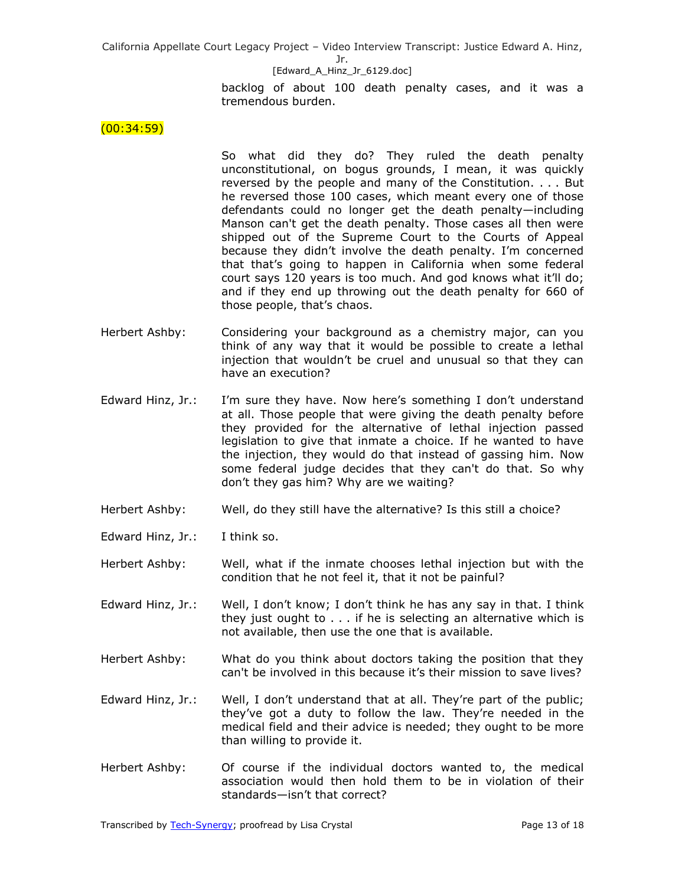### [Edward A Hinz Jr 6129.doc]

backlog of about 100 death penalty cases, and it was a tremendous burden.

 $(00:34:59)$ 

So what did they do? They ruled the death penalty unconstitutional, on bogus grounds, I mean, it was quickly reversed by the people and many of the Constitution. . . . But he reversed those 100 cases, which meant every one of those defendants could no longer get the death penalty—including Manson can't get the death penalty. Those cases all then were shipped out of the Supreme Court to the Courts of Appeal because they didn't involve the death penalty. I'm concerned that that's going to happen in California when some federal court says 120 years is too much. And god knows what it'll do; and if they end up throwing out the death penalty for 660 of those people, that's chaos.

- Herbert Ashby: Considering your background as a chemistry major, can you think of any way that it would be possible to create a lethal injection that wouldn't be cruel and unusual so that they can have an execution?
- Edward Hinz, Jr.: I'm sure they have. Now here's something I don't understand at all. Those people that were giving the death penalty before they provided for the alternative of lethal injection passed legislation to give that inmate a choice. If he wanted to have the injection, they would do that instead of gassing him. Now some federal judge decides that they can't do that. So why don't they gas him? Why are we waiting?
- Herbert Ashby: Well, do they still have the alternative? Is this still a choice?
- Edward Hinz, Jr.: I think so.

Herbert Ashby: Well, what if the inmate chooses lethal injection but with the condition that he not feel it, that it not be painful?

Edward Hinz, Jr.: Well, I don't know; I don't think he has any say in that. I think they just ought to . . . if he is selecting an alternative which is not available, then use the one that is available.

- Herbert Ashby: What do you think about doctors taking the position that they can't be involved in this because it's their mission to save lives?
- Edward Hinz, Jr.: Well, I don't understand that at all. They're part of the public; they've got a duty to follow the law. They're needed in the medical field and their advice is needed; they ought to be more than willing to provide it.
- Herbert Ashby: Of course if the individual doctors wanted to, the medical association would then hold them to be in violation of their standards—isn't that correct?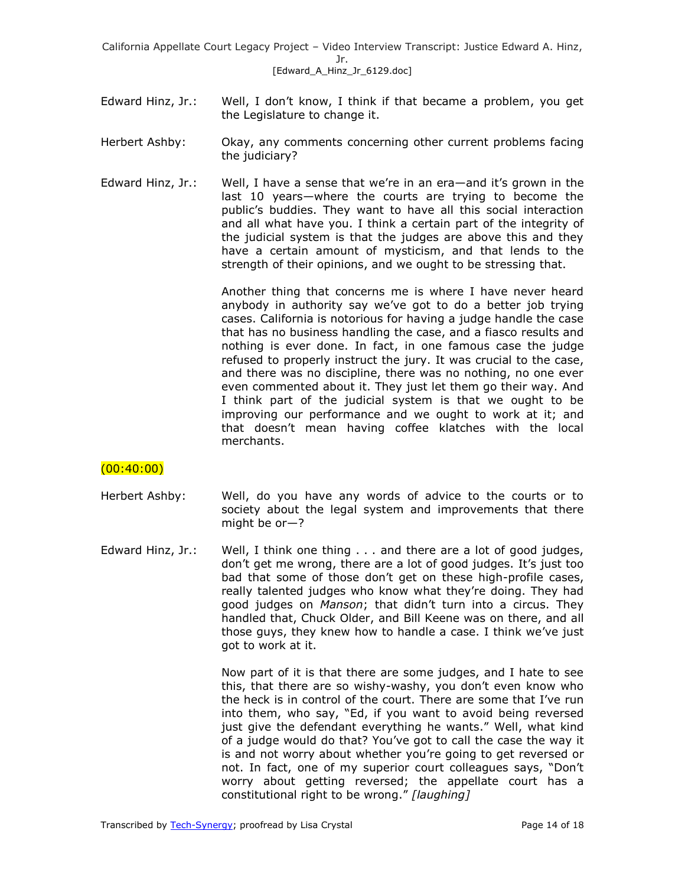- Edward Hinz, Jr.: Well, I don't know, I think if that became a problem, you get the Legislature to change it.
- Herbert Ashby: Okay, any comments concerning other current problems facing the judiciary?
- Edward Hinz, Jr.: Well, I have a sense that we're in an era—and it's grown in the last 10 years—where the courts are trying to become the public's buddies. They want to have all this social interaction and all what have you. I think a certain part of the integrity of the judicial system is that the judges are above this and they have a certain amount of mysticism, and that lends to the strength of their opinions, and we ought to be stressing that.

Another thing that concerns me is where I have never heard anybody in authority say we've got to do a better job trying cases. California is notorious for having a judge handle the case that has no business handling the case, and a fiasco results and nothing is ever done. In fact, in one famous case the judge refused to properly instruct the jury. It was crucial to the case, and there was no discipline, there was no nothing, no one ever even commented about it. They just let them go their way. And I think part of the judicial system is that we ought to be improving our performance and we ought to work at it; and that doesn't mean having coffee klatches with the local merchants.

# $(00:40:00)$

- Herbert Ashby: Well, do you have any words of advice to the courts or to society about the legal system and improvements that there might be or—?
- Edward Hinz, Jr.: Well, I think one thing . . . and there are a lot of good judges, don't get me wrong, there are a lot of good judges. It's just too bad that some of those don't get on these high-profile cases, really talented judges who know what they're doing. They had good judges on *Manson*; that didn't turn into a circus. They handled that, Chuck Older, and Bill Keene was on there, and all those guys, they knew how to handle a case. I think we've just got to work at it.

Now part of it is that there are some judges, and I hate to see this, that there are so wishy-washy, you don't even know who the heck is in control of the court. There are some that I've run into them, who say, "Ed, if you want to avoid being reversed just give the defendant everything he wants." Well, what kind of a judge would do that? You've got to call the case the way it is and not worry about whether you're going to get reversed or not. In fact, one of my superior court colleagues says, "Don't worry about getting reversed; the appellate court has a constitutional right to be wrong." [laughing]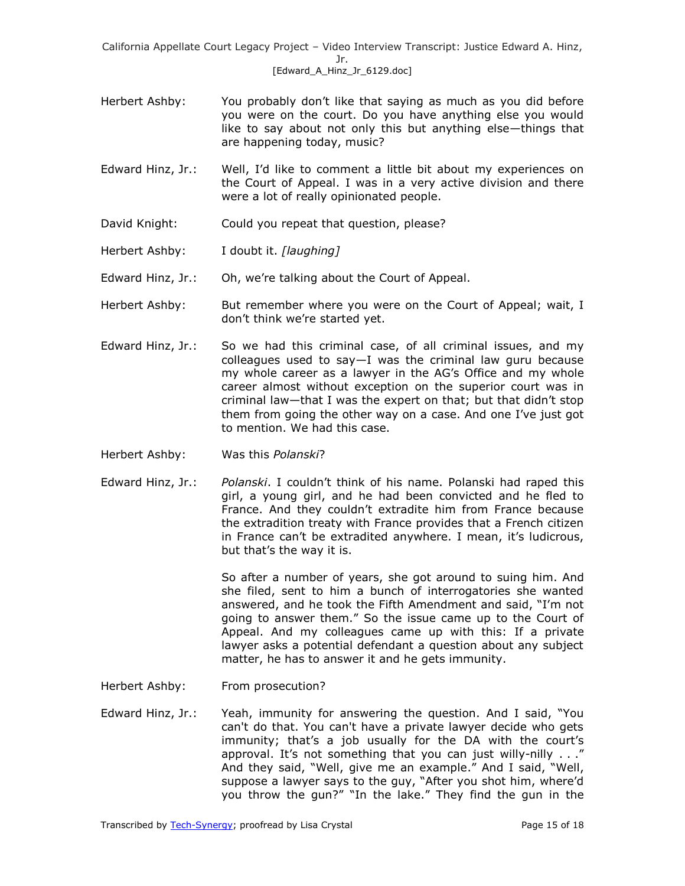- Herbert Ashby: You probably don't like that saying as much as you did before you were on the court. Do you have anything else you would like to say about not only this but anything else—things that are happening today, music?
- Edward Hinz, Jr.: Well, I'd like to comment a little bit about my experiences on the Court of Appeal. I was in a very active division and there were a lot of really opinionated people.
- David Knight: Could you repeat that question, please?
- Herbert Ashby: I doubt it. *[laughing]*
- Edward Hinz, Jr.: Oh, we're talking about the Court of Appeal.
- Herbert Ashby: But remember where you were on the Court of Appeal; wait, I don't think we're started yet.
- Edward Hinz, Jr.: So we had this criminal case, of all criminal issues, and my colleagues used to say—I was the criminal law guru because my whole career as a lawyer in the AG's Office and my whole career almost without exception on the superior court was in criminal law—that I was the expert on that; but that didn't stop them from going the other way on a case. And one I've just got to mention. We had this case.
- Herbert Ashby: Was this *Polanski*?
- Edward Hinz, Jr.: *Polanski*. I couldn't think of his name. Polanski had raped this girl, a young girl, and he had been convicted and he fled to France. And they couldn't extradite him from France because the extradition treaty with France provides that a French citizen in France can't be extradited anywhere. I mean, it's ludicrous, but that's the way it is.

So after a number of years, she got around to suing him. And she filed, sent to him a bunch of interrogatories she wanted answered, and he took the Fifth Amendment and said, "I'm not going to answer them." So the issue came up to the Court of Appeal. And my colleagues came up with this: If a private lawyer asks a potential defendant a question about any subject matter, he has to answer it and he gets immunity.

- Herbert Ashby: From prosecution?
- Edward Hinz, Jr.: Yeah, immunity for answering the question. And I said, "You can't do that. You can't have a private lawyer decide who gets immunity; that's a job usually for the DA with the court's approval. It's not something that you can just willy-nilly  $\ldots$ " And they said, "Well, give me an example." And I said, "Well, suppose a lawyer says to the guy, "After you shot him, where'd you throw the gun?" "In the lake." They find the gun in the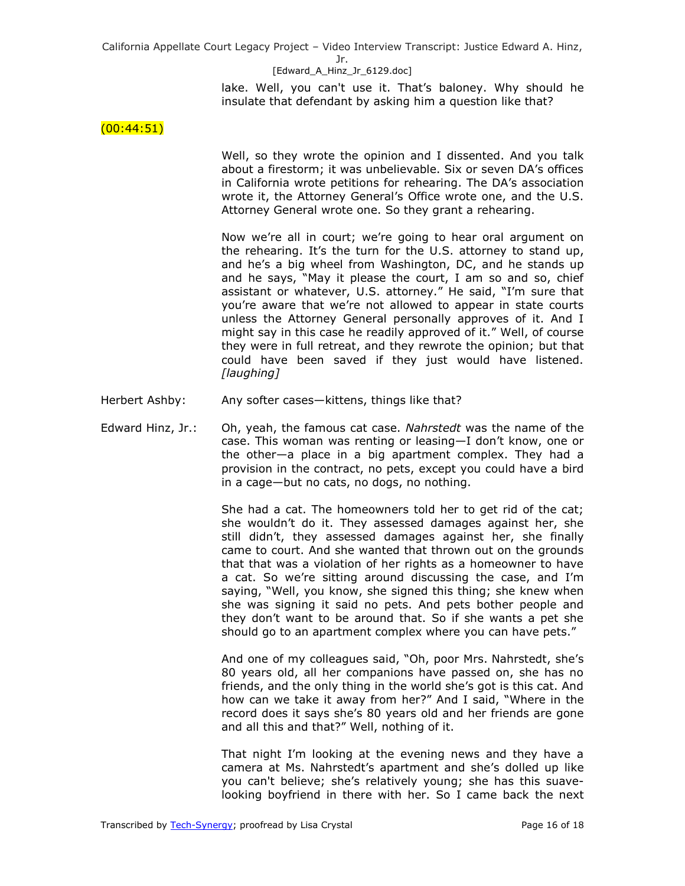### [Edward A Hinz Jr 6129.doc]

lake. Well, you can't use it. That's baloney. Why should he insulate that defendant by asking him a question like that?

 $(00:44:51)$ 

Well, so they wrote the opinion and I dissented. And you talk about a firestorm; it was unbelievable. Six or seven DA's offices in California wrote petitions for rehearing. The DA's association wrote it, the Attorney General's Office wrote one, and the U.S. Attorney General wrote one. So they grant a rehearing.

Now we're all in court; we're going to hear oral argument on the rehearing. It's the turn for the U.S. attorney to stand up, and he's a big wheel from Washington, DC, and he stands up and he says, "May it please the court, I am so and so, chief assistant or whatever, U.S. attorney." He said, "I'm sure that you're aware that we're not allowed to appear in state courts unless the Attorney General personally approves of it. And I might say in this case he readily approved of it." Well, of course they were in full retreat, and they rewrote the opinion; but that could have been saved if they just would have listened. *[laughing]* 

- Herbert Ashby: Any softer cases—kittens, things like that?
- Edward Hinz, Jr.: Oh, yeah, the famous cat case. *Nahrstedt* was the name of the case. This woman was renting or leasing—I don't know, one or the other—a place in a big apartment complex. They had a provision in the contract, no pets, except you could have a bird in a cage—but no cats, no dogs, no nothing.

She had a cat. The homeowners told her to get rid of the cat; she wouldn't do it. They assessed damages against her, she still didn't, they assessed damages against her, she finally came to court. And she wanted that thrown out on the grounds that that was a violation of her rights as a homeowner to have a cat. So we're sitting around discussing the case, and I'm saying, "Well, you know, she signed this thing; she knew when she was signing it said no pets. And pets bother people and they don't want to be around that. So if she wants a pet she should go to an apartment complex where you can have pets."

And one of my colleagues said, "Oh, poor Mrs. Nahrstedt, she's 80 years old, all her companions have passed on, she has no friends, and the only thing in the world she's got is this cat. And how can we take it away from her?" And I said, "Where in the record does it says she's 80 years old and her friends are gone and all this and that?" Well, nothing of it.

That night I'm looking at the evening news and they have a camera at Ms. Nahrstedt's apartment and she's dolled up like you can't believe; she's relatively young; she has this suavelooking boyfriend in there with her. So I came back the next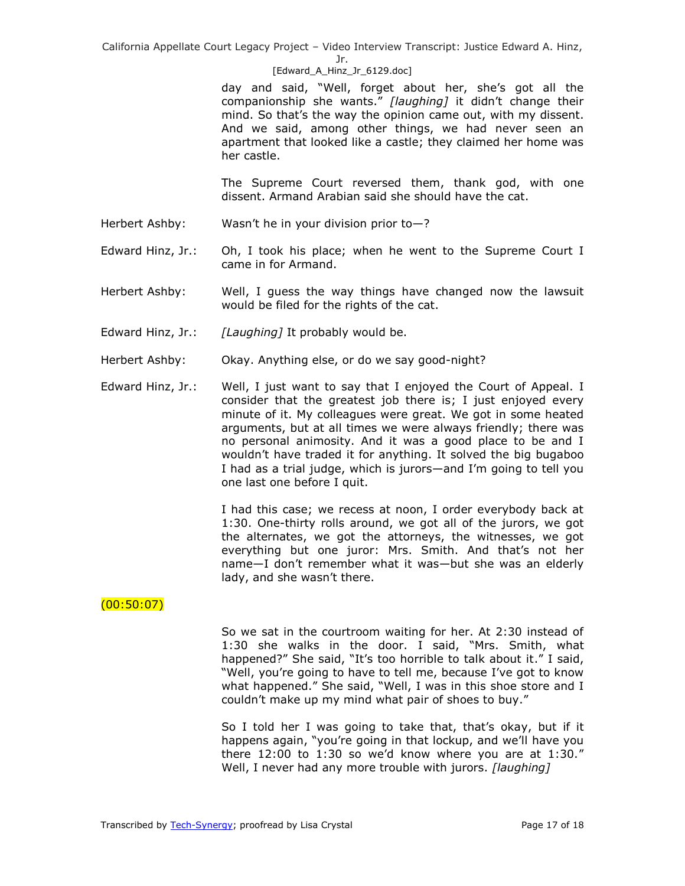Jr.

## [Edward A Hinz Jr 6129.doc]

day and said, "Well, forget about her, she's got all the companionship she wants.‖ *[laughing]* it didn't change their mind. So that's the way the opinion came out, with my dissent. And we said, among other things, we had never seen an apartment that looked like a castle; they claimed her home was her castle.

The Supreme Court reversed them, thank god, with one dissent. Armand Arabian said she should have the cat.

- Herbert Ashby: Wasn't he in your division prior to-?
- Edward Hinz, Jr.: Oh, I took his place; when he went to the Supreme Court I came in for Armand.
- Herbert Ashby: Well, I guess the way things have changed now the lawsuit would be filed for the rights of the cat.
- Edward Hinz, Jr.: *[Laughing]* It probably would be.
- Herbert Ashby: Okay. Anything else, or do we say good-night?
- Edward Hinz, Jr.: Well, I just want to say that I enjoyed the Court of Appeal. I consider that the greatest job there is; I just enjoyed every minute of it. My colleagues were great. We got in some heated arguments, but at all times we were always friendly; there was no personal animosity. And it was a good place to be and I wouldn't have traded it for anything. It solved the big bugaboo I had as a trial judge, which is jurors—and I'm going to tell you one last one before I quit.

I had this case; we recess at noon, I order everybody back at 1:30. One-thirty rolls around, we got all of the jurors, we got the alternates, we got the attorneys, the witnesses, we got everything but one juror: Mrs. Smith. And that's not her name—I don't remember what it was—but she was an elderly lady, and she wasn't there.

# $(00:50:07)$

So we sat in the courtroom waiting for her. At 2:30 instead of 1:30 she walks in the door. I said, "Mrs. Smith, what happened?" She said, "It's too horrible to talk about it." I said, "Well, you're going to have to tell me, because I've got to know what happened." She said, "Well, I was in this shoe store and I couldn't make up my mind what pair of shoes to buy."

So I told her I was going to take that, that's okay, but if it happens again, "you're going in that lockup, and we'll have you there  $12:00$  to  $1:30$  so we'd know where you are at  $1:30."$ Well, I never had any more trouble with jurors. *[laughing]*